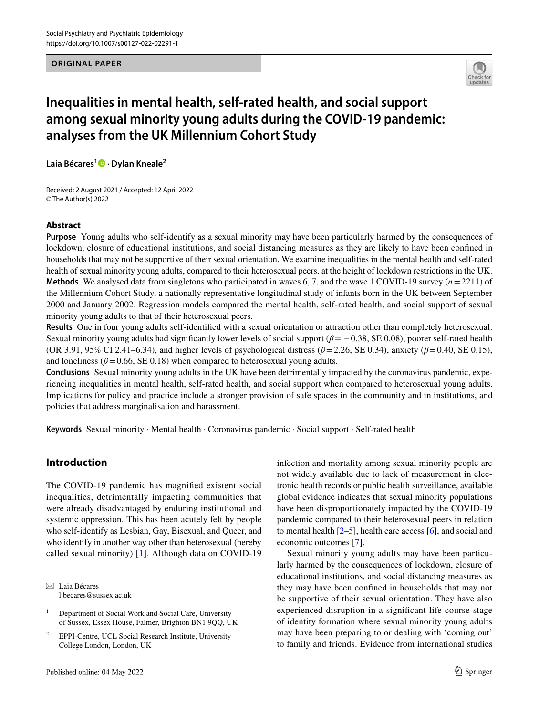## **ORIGINAL PAPER**



# **Inequalities in mental health, self‑rated health, and social support among sexual minority young adults during the COVID‑19 pandemic: analyses from the UK Millennium Cohort Study**

**Laia Bécares<sup>1</sup>  [·](http://orcid.org/0000-0002-4207-074X) Dylan Kneale2**

Received: 2 August 2021 / Accepted: 12 April 2022 © The Author(s) 2022

## **Abstract**

**Purpose** Young adults who self-identify as a sexual minority may have been particularly harmed by the consequences of lockdown, closure of educational institutions, and social distancing measures as they are likely to have been confned in households that may not be supportive of their sexual orientation. We examine inequalities in the mental health and self-rated health of sexual minority young adults, compared to their heterosexual peers, at the height of lockdown restrictions in the UK. **Methods** We analysed data from singletons who participated in waves 6, 7, and the wave 1 COVID-19 survey (*n*=2211) of the Millennium Cohort Study, a nationally representative longitudinal study of infants born in the UK between September 2000 and January 2002. Regression models compared the mental health, self-rated health, and social support of sexual minority young adults to that of their heterosexual peers.

**Results** One in four young adults self-identifed with a sexual orientation or attraction other than completely heterosexual. Sexual minority young adults had signifcantly lower levels of social support (*β*= −0.38, SE 0.08), poorer self-rated health (OR 3.91, 95% CI 2.41–6.34), and higher levels of psychological distress (*β*=2.26, SE 0.34), anxiety (*β*=0.40, SE 0.15), and loneliness ( $\beta$ =0.66, SE 0.18) when compared to heterosexual young adults.

**Conclusions** Sexual minority young adults in the UK have been detrimentally impacted by the coronavirus pandemic, experiencing inequalities in mental health, self-rated health, and social support when compared to heterosexual young adults. Implications for policy and practice include a stronger provision of safe spaces in the community and in institutions, and policies that address marginalisation and harassment.

**Keywords** Sexual minority · Mental health · Coronavirus pandemic · Social support · Self-rated health

# **Introduction**

The COVID-19 pandemic has magnifed existent social inequalities, detrimentally impacting communities that were already disadvantaged by enduring institutional and systemic oppression. This has been acutely felt by people who self-identify as Lesbian, Gay, Bisexual, and Queer, and who identify in another way other than heterosexual (hereby called sexual minority) [[1\]](#page-6-0). Although data on COVID-19

 $\boxtimes$  Laia Bécares l.becares@sussex.ac.uk infection and mortality among sexual minority people are not widely available due to lack of measurement in electronic health records or public health surveillance, available global evidence indicates that sexual minority populations have been disproportionately impacted by the COVID-19 pandemic compared to their heterosexual peers in relation to mental health  $[2-5]$  $[2-5]$ , health care access  $[6]$  $[6]$ , and social and economic outcomes [\[7](#page-7-0)].

Sexual minority young adults may have been particularly harmed by the consequences of lockdown, closure of educational institutions, and social distancing measures as they may have been confned in households that may not be supportive of their sexual orientation. They have also experienced disruption in a signifcant life course stage of identity formation where sexual minority young adults may have been preparing to or dealing with 'coming out' to family and friends. Evidence from international studies

<sup>&</sup>lt;sup>1</sup> Department of Social Work and Social Care, University of Sussex, Essex House, Falmer, Brighton BN1 9QQ, UK

<sup>2</sup> EPPI-Centre, UCL Social Research Institute, University College London, London, UK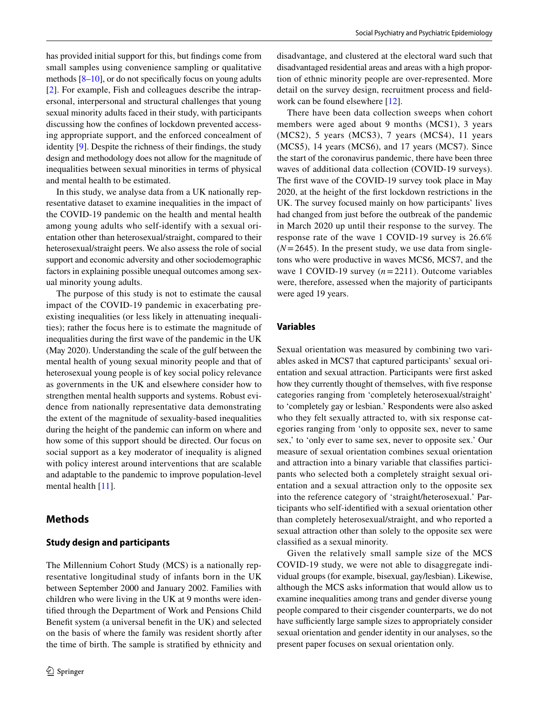has provided initial support for this, but fndings come from small samples using convenience sampling or qualitative methods [\[8](#page-7-1)[–10](#page-7-2)], or do not specifcally focus on young adults [\[2\]](#page-6-1). For example, Fish and colleagues describe the intrapersonal, interpersonal and structural challenges that young sexual minority adults faced in their study, with participants discussing how the confnes of lockdown prevented accessing appropriate support, and the enforced concealment of identity [[9\]](#page-7-3). Despite the richness of their fndings, the study design and methodology does not allow for the magnitude of inequalities between sexual minorities in terms of physical and mental health to be estimated.

In this study, we analyse data from a UK nationally representative dataset to examine inequalities in the impact of the COVID-19 pandemic on the health and mental health among young adults who self-identify with a sexual orientation other than heterosexual/straight, compared to their heterosexual/straight peers. We also assess the role of social support and economic adversity and other sociodemographic factors in explaining possible unequal outcomes among sexual minority young adults.

The purpose of this study is not to estimate the causal impact of the COVID-19 pandemic in exacerbating preexisting inequalities (or less likely in attenuating inequalities); rather the focus here is to estimate the magnitude of inequalities during the frst wave of the pandemic in the UK (May 2020). Understanding the scale of the gulf between the mental health of young sexual minority people and that of heterosexual young people is of key social policy relevance as governments in the UK and elsewhere consider how to strengthen mental health supports and systems. Robust evidence from nationally representative data demonstrating the extent of the magnitude of sexuality-based inequalities during the height of the pandemic can inform on where and how some of this support should be directed. Our focus on social support as a key moderator of inequality is aligned with policy interest around interventions that are scalable and adaptable to the pandemic to improve population-level mental health [[11\]](#page-7-4).

## **Methods**

## **Study design and participants**

The Millennium Cohort Study (MCS) is a nationally representative longitudinal study of infants born in the UK between September 2000 and January 2002. Families with children who were living in the UK at 9 months were identifed through the Department of Work and Pensions Child Beneft system (a universal beneft in the UK) and selected on the basis of where the family was resident shortly after the time of birth. The sample is stratifed by ethnicity and disadvantage, and clustered at the electoral ward such that disadvantaged residential areas and areas with a high proportion of ethnic minority people are over-represented. More detail on the survey design, recruitment process and feldwork can be found elsewhere [\[12](#page-7-5)].

There have been data collection sweeps when cohort members were aged about 9 months (MCS1), 3 years (MCS2), 5 years (MCS3), 7 years (MCS4), 11 years (MCS5), 14 years (MCS6), and 17 years (MCS7). Since the start of the coronavirus pandemic, there have been three waves of additional data collection (COVID-19 surveys). The frst wave of the COVID-19 survey took place in May 2020, at the height of the frst lockdown restrictions in the UK. The survey focused mainly on how participants' lives had changed from just before the outbreak of the pandemic in March 2020 up until their response to the survey. The response rate of the wave 1 COVID-19 survey is 26.6%  $(N=2645)$ . In the present study, we use data from singletons who were productive in waves MCS6, MCS7, and the wave 1 COVID-19 survey (*n*=2211). Outcome variables were, therefore, assessed when the majority of participants were aged 19 years.

## **Variables**

Sexual orientation was measured by combining two variables asked in MCS7 that captured participants' sexual orientation and sexual attraction. Participants were frst asked how they currently thought of themselves, with five response categories ranging from 'completely heterosexual/straight' to 'completely gay or lesbian.' Respondents were also asked who they felt sexually attracted to, with six response categories ranging from 'only to opposite sex, never to same sex,' to 'only ever to same sex, never to opposite sex.' Our measure of sexual orientation combines sexual orientation and attraction into a binary variable that classifes participants who selected both a completely straight sexual orientation and a sexual attraction only to the opposite sex into the reference category of 'straight/heterosexual.' Participants who self-identifed with a sexual orientation other than completely heterosexual/straight, and who reported a sexual attraction other than solely to the opposite sex were classifed as a sexual minority.

Given the relatively small sample size of the MCS COVID-19 study, we were not able to disaggregate individual groups (for example, bisexual, gay/lesbian). Likewise, although the MCS asks information that would allow us to examine inequalities among trans and gender diverse young people compared to their cisgender counterparts, we do not have sufficiently large sample sizes to appropriately consider sexual orientation and gender identity in our analyses, so the present paper focuses on sexual orientation only.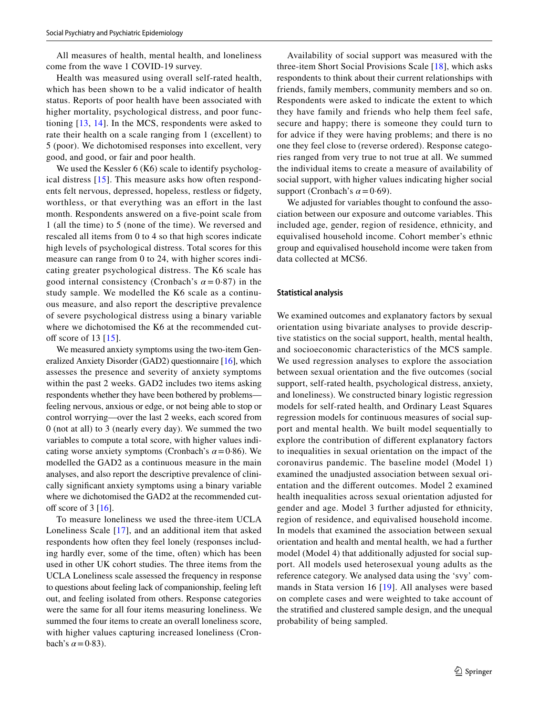All measures of health, mental health, and loneliness come from the wave 1 COVID-19 survey.

Health was measured using overall self-rated health, which has been shown to be a valid indicator of health status. Reports of poor health have been associated with higher mortality, psychological distress, and poor functioning [\[13,](#page-7-6) [14\]](#page-7-7). In the MCS, respondents were asked to rate their health on a scale ranging from 1 (excellent) to 5 (poor). We dichotomised responses into excellent, very good, and good, or fair and poor health.

We used the Kessler 6 (K6) scale to identify psychological distress [\[15\]](#page-7-8). This measure asks how often respondents felt nervous, depressed, hopeless, restless or fdgety, worthless, or that everything was an effort in the last month. Respondents answered on a fve-point scale from 1 (all the time) to 5 (none of the time). We reversed and rescaled all items from 0 to 4 so that high scores indicate high levels of psychological distress. Total scores for this measure can range from 0 to 24, with higher scores indicating greater psychological distress. The K6 scale has good internal consistency (Cronbach's  $\alpha = 0.87$ ) in the study sample. We modelled the K6 scale as a continuous measure, and also report the descriptive prevalence of severe psychological distress using a binary variable where we dichotomised the K6 at the recommended cutoff score of 13  $[15]$ .

We measured anxiety symptoms using the two-item Generalized Anxiety Disorder (GAD2) questionnaire [\[16](#page-7-9)], which assesses the presence and severity of anxiety symptoms within the past 2 weeks. GAD2 includes two items asking respondents whether they have been bothered by problems feeling nervous, anxious or edge, or not being able to stop or control worrying—over the last 2 weeks, each scored from 0 (not at all) to 3 (nearly every day). We summed the two variables to compute a total score, with higher values indicating worse anxiety symptoms (Cronbach's  $\alpha$  = 0·86). We modelled the GAD2 as a continuous measure in the main analyses, and also report the descriptive prevalence of clinically signifcant anxiety symptoms using a binary variable where we dichotomised the GAD2 at the recommended cutoff score of  $3 \mid 16$ .

To measure loneliness we used the three-item UCLA Loneliness Scale [[17](#page-7-10)], and an additional item that asked respondents how often they feel lonely (responses including hardly ever, some of the time, often) which has been used in other UK cohort studies. The three items from the UCLA Loneliness scale assessed the frequency in response to questions about feeling lack of companionship, feeling left out, and feeling isolated from others. Response categories were the same for all four items measuring loneliness. We summed the four items to create an overall loneliness score, with higher values capturing increased loneliness (Cronbach's  $\alpha$  = 0.83).

Availability of social support was measured with the three-item Short Social Provisions Scale [[18](#page-7-11)], which asks respondents to think about their current relationships with friends, family members, community members and so on. Respondents were asked to indicate the extent to which they have family and friends who help them feel safe, secure and happy; there is someone they could turn to for advice if they were having problems; and there is no one they feel close to (reverse ordered). Response categories ranged from very true to not true at all. We summed the individual items to create a measure of availability of social support, with higher values indicating higher social support (Cronbach's  $\alpha$  = 0·69).

We adjusted for variables thought to confound the association between our exposure and outcome variables. This included age, gender, region of residence, ethnicity, and equivalised household income. Cohort member's ethnic group and equivalised household income were taken from data collected at MCS6.

#### **Statistical analysis**

We examined outcomes and explanatory factors by sexual orientation using bivariate analyses to provide descriptive statistics on the social support, health, mental health, and socioeconomic characteristics of the MCS sample. We used regression analyses to explore the association between sexual orientation and the fve outcomes (social support, self-rated health, psychological distress, anxiety, and loneliness). We constructed binary logistic regression models for self-rated health, and Ordinary Least Squares regression models for continuous measures of social support and mental health. We built model sequentially to explore the contribution of diferent explanatory factors to inequalities in sexual orientation on the impact of the coronavirus pandemic. The baseline model (Model 1) examined the unadjusted association between sexual orientation and the diferent outcomes. Model 2 examined health inequalities across sexual orientation adjusted for gender and age. Model 3 further adjusted for ethnicity, region of residence, and equivalised household income. In models that examined the association between sexual orientation and health and mental health, we had a further model (Model 4) that additionally adjusted for social support. All models used heterosexual young adults as the reference category. We analysed data using the 'svy' commands in Stata version 16 [[19](#page-7-12)]. All analyses were based on complete cases and were weighted to take account of the stratifed and clustered sample design, and the unequal probability of being sampled.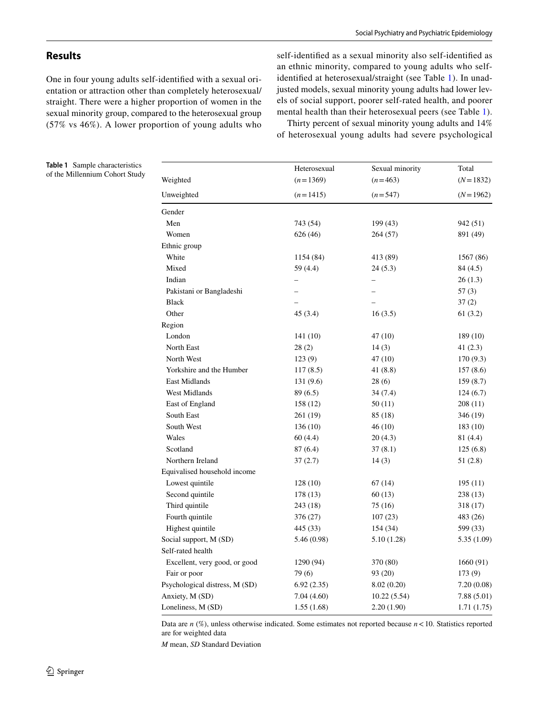## **Results**

One in four young adults self-identifed with a sexual orientation or attraction other than completely heterosexual/ straight. There were a higher proportion of women in the sexual minority group, compared to the heterosexual group (57% vs 46%). A lower proportion of young adults who self-identifed as a sexual minority also self-identifed as an ethnic minority, compared to young adults who selfidentifed at heterosexual/straight (see Table [1](#page-3-0)). In unadjusted models, sexual minority young adults had lower levels of social support, poorer self-rated health, and poorer mental health than their heterosexual peers (see Table [1](#page-3-0)).

Thirty percent of sexual minority young adults and 14% of heterosexual young adults had severe psychological

<span id="page-3-0"></span>**Table 1** Sample characteristics of the Millennium Cohort Study

|                                | Heterosexual | Sexual minority | Total                    |  |
|--------------------------------|--------------|-----------------|--------------------------|--|
| Weighted                       | $(n=1369)$   | $(n=463)$       | $(N=1832)$<br>$(N=1962)$ |  |
| Unweighted                     | $(n=1415)$   | $(n=547)$       |                          |  |
| Gender                         |              |                 |                          |  |
| Men                            | 743 (54)     | 199 (43)        | 942 (51)                 |  |
| Women                          | 626 (46)     | 264 (57)        | 891 (49)                 |  |
| Ethnic group                   |              |                 |                          |  |
| White                          | 1154 (84)    | 413 (89)        | 1567 (86)                |  |
| Mixed                          | 59 (4.4)     | 24(5.3)         | 84(4.5)                  |  |
| Indian                         |              |                 | 26(1.3)                  |  |
| Pakistani or Bangladeshi       |              |                 | 57(3)                    |  |
| <b>Black</b>                   |              |                 | 37(2)                    |  |
| Other                          | 45(3.4)      | 16(3.5)         | 61 (3.2)                 |  |
| Region                         |              |                 |                          |  |
| London                         | 141(10)      | 47 (10)         | 189 (10)                 |  |
| North East                     | 28(2)        | 14(3)           | 41(2.3)                  |  |
| North West                     | 123(9)       | 47 (10)         | 170(9.3)                 |  |
| Yorkshire and the Humber       | 117(8.5)     | 41 (8.8)        | 157(8.6)                 |  |
| East Midlands                  | 131 (9.6)    | 28(6)           | 159(8.7)                 |  |
| West Midlands                  | 89 (6.5)     | 34 (7.4)        | 124(6.7)                 |  |
| East of England                | 158 (12)     | 50(11)          | 208 (11)                 |  |
| South East                     | 261 (19)     | 85 (18)         | 346 (19)                 |  |
| South West                     | 136 (10)     | 46 (10)         | 183 (10)                 |  |
| Wales                          | 60 (4.4)     | 20 (4.3)        | 81 (4.4)                 |  |
| Scotland                       | 87 (6.4)     | 37(8.1)         | 125(6.8)                 |  |
| Northern Ireland               | 37(2.7)      | 14(3)           | 51(2.8)                  |  |
| Equivalised household income   |              |                 |                          |  |
| Lowest quintile                | 128(10)      | 67 (14)         | 195 (11)                 |  |
| Second quintile                | 178 (13)     | 60 (13)         | 238 (13)                 |  |
| Third quintile                 | 243 (18)     | 75 (16)         | 318 (17)                 |  |
| Fourth quintile                | 376 (27)     | 107(23)         | 483 (26)                 |  |
| Highest quintile               | 445 (33)     | 154 (34)        | 599 (33)                 |  |
| Social support, M (SD)         | 5.46 (0.98)  | 5.10 (1.28)     | 5.35(1.09)               |  |
| Self-rated health              |              |                 |                          |  |
| Excellent, very good, or good  | 1290 (94)    | 370 (80)        | 1660 (91)                |  |
| Fair or poor                   | 79(6)        | 93 (20)         | 173 (9)                  |  |
| Psychological distress, M (SD) | 6.92(2.35)   | 8.02(0.20)      | 7.20(0.08)               |  |
| Anxiety, M (SD)                | 7.04(4.60)   | 10.22(5.54)     | 7.88(5.01)               |  |
| Loneliness, M (SD)             | 1.55(1.68)   | 2.20 (1.90)     | 1.71(1.75)               |  |

Data are  $n$  (%), unless otherwise indicated. Some estimates not reported because  $n < 10$ . Statistics reported are for weighted data

*M* mean, *SD* Standard Deviation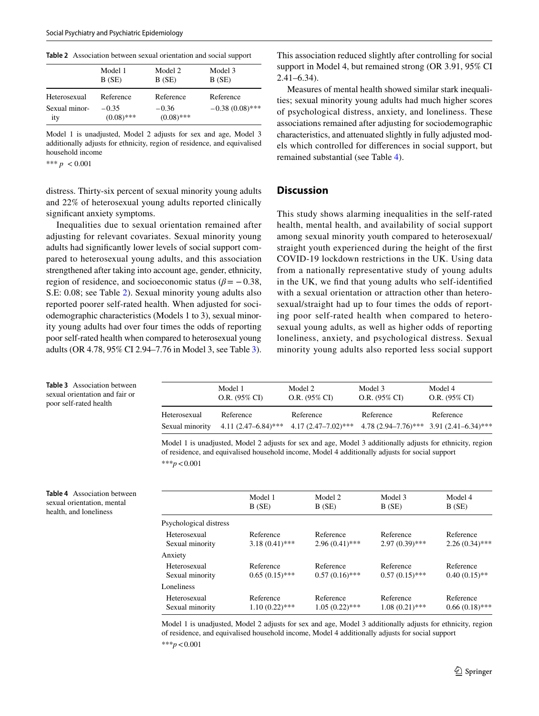<span id="page-4-0"></span>**Table 2** Association between sexual orientation and social support

| Model 1                 | Model 2                 | Model 3           |
|-------------------------|-------------------------|-------------------|
| B(SE)                   | B(SE)                   | B(SE)             |
| Reference               | Reference               | Reference         |
| $-0.35$<br>$(0.08)$ *** | $-0.36$<br>$(0.08)$ *** | $-0.38(0.08)$ *** |
|                         |                         |                   |

Model 1 is unadjusted, Model 2 adjusts for sex and age, Model 3 additionally adjusts for ethnicity, region of residence, and equivalised household income

\*\*\*  $p < 0.001$ 

<span id="page-4-1"></span>**Table 3** Association between sexual orientation and fair or poor self-rated health

<span id="page-4-2"></span>**Table 4** Association between sexual orientation, mental health, and loneliness

distress. Thirty-six percent of sexual minority young adults and 22% of heterosexual young adults reported clinically signifcant anxiety symptoms.

Inequalities due to sexual orientation remained after adjusting for relevant covariates. Sexual minority young adults had signifcantly lower levels of social support compared to heterosexual young adults, and this association strengthened after taking into account age, gender, ethnicity, region of residence, and socioeconomic status ( $\beta$ = -0.38, S.E: 0.08; see Table [2\)](#page-4-0). Sexual minority young adults also reported poorer self-rated health. When adjusted for sociodemographic characteristics (Models 1 to 3), sexual minority young adults had over four times the odds of reporting poor self-rated health when compared to heterosexual young adults (OR 4.78, 95% CI 2.94–7.76 in Model 3, see Table [3](#page-4-1)).

This association reduced slightly after controlling for social support in Model 4, but remained strong (OR 3.91, 95% CI 2.41–6.34).

Measures of mental health showed similar stark inequalities; sexual minority young adults had much higher scores of psychological distress, anxiety, and loneliness. These associations remained after adjusting for sociodemographic characteristics, and attenuated slightly in fully adjusted models which controlled for diferences in social support, but remained substantial (see Table [4\)](#page-4-2).

## **Discussion**

This study shows alarming inequalities in the self-rated health, mental health, and availability of social support among sexual minority youth compared to heterosexual/ straight youth experienced during the height of the frst COVID-19 lockdown restrictions in the UK. Using data from a nationally representative study of young adults in the UK, we fnd that young adults who self-identifed with a sexual orientation or attraction other than heterosexual/straight had up to four times the odds of reporting poor self-rated health when compared to heterosexual young adults, as well as higher odds of reporting loneliness, anxiety, and psychological distress. Sexual minority young adults also reported less social support

|                                 | Model 1          | Model 2                                                                                                                  | Model 3          | Model 4          |
|---------------------------------|------------------|--------------------------------------------------------------------------------------------------------------------------|------------------|------------------|
|                                 | $O.R. (95\% CI)$ | $O.R. (95\% CI)$                                                                                                         | $O.R. (95\% CI)$ | $O.R. (95\% CI)$ |
| Heterosexual<br>Sexual minority | Reference        | Reference<br>$4.11 (2.47 - 6.84)^{***}$ $4.17 (2.47 - 7.02)^{***}$ $4.78 (2.94 - 7.76)^{***}$ $3.91 (2.41 - 6.34)^{***}$ | Reference        | Reference        |

Model 1 is unadjusted, Model 2 adjusts for sex and age, Model 3 additionally adjusts for ethnicity, region of residence, and equivalised household income, Model 4 additionally adjusts for social support \*\*\**p*<0.001

|                                 | Model 1<br>B(SE)              | Model 2<br>B(SE)              | Model 3<br>B(SE)              | Model 4<br>B(SE)              |
|---------------------------------|-------------------------------|-------------------------------|-------------------------------|-------------------------------|
| Psychological distress          |                               |                               |                               |                               |
| Heterosexual<br>Sexual minority | Reference<br>$3.18(0.41)$ *** | Reference<br>$2.96(0.41)$ *** | Reference<br>$2.97(0.39)$ *** | Reference<br>$2.26(0.34)$ *** |
| Anxiety                         |                               |                               |                               |                               |
| Heterosexual<br>Sexual minority | Reference<br>$0.65(0.15)$ *** | Reference<br>$0.57(0.16)$ *** | Reference<br>$0.57(0.15)$ *** | Reference<br>$0.40(0.15)$ **  |
| Loneliness                      |                               |                               |                               |                               |
| Heterosexual<br>Sexual minority | Reference<br>$1.10(0.22)$ *** | Reference<br>$1.05(0.22)$ *** | Reference<br>$1.08(0.21)$ *** | Reference<br>$0.66(0.18)$ *** |
|                                 |                               |                               |                               |                               |

Model 1 is unadjusted, Model 2 adjusts for sex and age, Model 3 additionally adjusts for ethnicity, region of residence, and equivalised household income, Model 4 additionally adjusts for social support

\*\*\**p*<0.001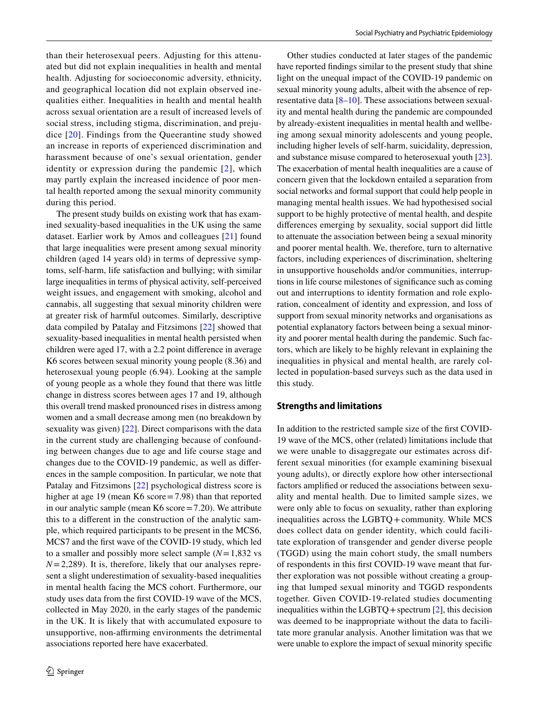than their heterosexual peers. Adjusting for this attenuated but did not explain inequalities in health and mental health. Adjusting for socioeconomic adversity, ethnicity, and geographical location did not explain observed inequalities either. Inequalities in health and mental health across sexual orientation are a result of increased levels of social stress, including stigma, discrimination, and prejudice [[20](#page-7-13)]. Findings from the Queerantine study showed an increase in reports of experienced discrimination and harassment because of one's sexual orientation, gender identity or expression during the pandemic [[2](#page-6-1)], which may partly explain the increased incidence of poor mental health reported among the sexual minority community during this period.

The present study builds on existing work that has examined sexuality-based inequalities in the UK using the same dataset. Earlier work by Amos and colleagues [[21\]](#page-7-14) found that large inequalities were present among sexual minority children (aged 14 years old) in terms of depressive symptoms, self-harm, life satisfaction and bullying; with similar large inequalities in terms of physical activity, self-perceived weight issues, and engagement with smoking, alcohol and cannabis, all suggesting that sexual minority children were at greater risk of harmful outcomes. Similarly, descriptive data compiled by Patalay and Fitzsimons [\[22](#page-7-15)] showed that sexuality-based inequalities in mental health persisted when children were aged 17, with a 2.2 point diference in average K6 scores between sexual minority young people (8.36) and heterosexual young people (6.94). Looking at the sample of young people as a whole they found that there was little change in distress scores between ages 17 and 19, although this overall trend masked pronounced rises in distress among women and a small decrease among men (no breakdown by sexuality was given) [\[22](#page-7-15)]. Direct comparisons with the data in the current study are challenging because of confounding between changes due to age and life course stage and changes due to the COVID-19 pandemic, as well as diferences in the sample composition. In particular, we note that Patalay and Fitzsimons [[22\]](#page-7-15) psychological distress score is higher at age 19 (mean K6 score=7.98) than that reported in our analytic sample (mean K6 score=7.20). We attribute this to a diferent in the construction of the analytic sample, which required participants to be present in the MCS6, MCS7 and the frst wave of the COVID-19 study, which led to a smaller and possibly more select sample (*N*=1,832 vs  $N=2,289$ ). It is, therefore, likely that our analyses represent a slight underestimation of sexuality-based inequalities in mental health facing the MCS cohort. Furthermore, our study uses data from the frst COVID-19 wave of the MCS, collected in May 2020, in the early stages of the pandemic in the UK. It is likely that with accumulated exposure to unsupportive, non-affirming environments the detrimental associations reported here have exacerbated.

Other studies conducted at later stages of the pandemic have reported fndings similar to the present study that shine light on the unequal impact of the COVID-19 pandemic on sexual minority young adults, albeit with the absence of representative data [\[8](#page-7-1)[–10](#page-7-2)]. These associations between sexuality and mental health during the pandemic are compounded by already-existent inequalities in mental health and wellbeing among sexual minority adolescents and young people, including higher levels of self-harm, suicidality, depression, and substance misuse compared to heterosexual youth [\[23](#page-7-16)]. The exacerbation of mental health inequalities are a cause of concern given that the lockdown entailed a separation from social networks and formal support that could help people in managing mental health issues. We had hypothesised social support to be highly protective of mental health, and despite diferences emerging by sexuality, social support did little to attenuate the association between being a sexual minority and poorer mental health. We, therefore, turn to alternative factors, including experiences of discrimination, sheltering in unsupportive households and/or communities, interruptions in life course milestones of signifcance such as coming out and interruptions to identity formation and role exploration, concealment of identity and expression, and loss of support from sexual minority networks and organisations as potential explanatory factors between being a sexual minority and poorer mental health during the pandemic. Such factors, which are likely to be highly relevant in explaining the inequalities in physical and mental health, are rarely collected in population-based surveys such as the data used in this study.

#### **Strengths and limitations**

In addition to the restricted sample size of the frst COVID-19 wave of the MCS, other (related) limitations include that we were unable to disaggregate our estimates across different sexual minorities (for example examining bisexual young adults), or directly explore how other intersectional factors amplifed or reduced the associations between sexuality and mental health. Due to limited sample sizes, we were only able to focus on sexuality, rather than exploring inequalities across the LGBTQ + community. While MCS does collect data on gender identity, which could facilitate exploration of transgender and gender diverse people (TGGD) using the main cohort study, the small numbers of respondents in this frst COVID-19 wave meant that further exploration was not possible without creating a grouping that lumped sexual minority and TGGD respondents together. Given COVID-19-related studies documenting inequalities within the LGBTQ + spectrum  $[2]$  $[2]$ , this decision was deemed to be inappropriate without the data to facilitate more granular analysis. Another limitation was that we were unable to explore the impact of sexual minority specifc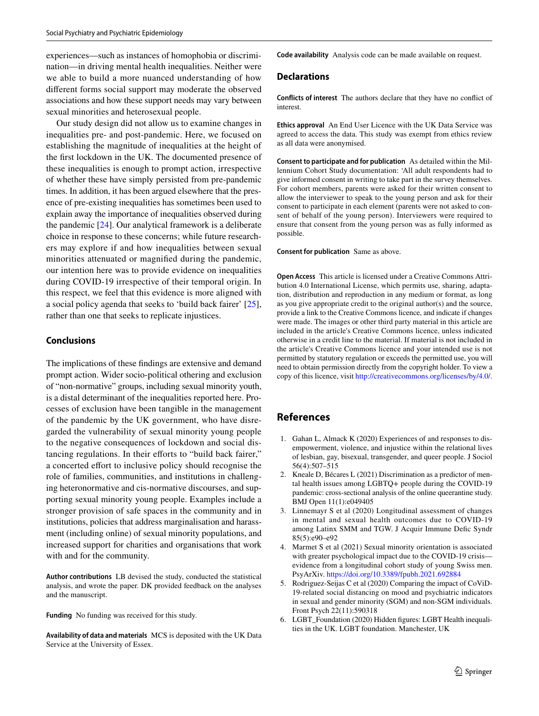experiences—such as instances of homophobia or discrimination—in driving mental health inequalities. Neither were we able to build a more nuanced understanding of how diferent forms social support may moderate the observed associations and how these support needs may vary between sexual minorities and heterosexual people.

Our study design did not allow us to examine changes in inequalities pre- and post-pandemic. Here, we focused on establishing the magnitude of inequalities at the height of the frst lockdown in the UK. The documented presence of these inequalities is enough to prompt action, irrespective of whether these have simply persisted from pre-pandemic times. In addition, it has been argued elsewhere that the presence of pre-existing inequalities has sometimes been used to explain away the importance of inequalities observed during the pandemic [\[24\]](#page-7-17). Our analytical framework is a deliberate choice in response to these concerns; while future researchers may explore if and how inequalities between sexual minorities attenuated or magnifed during the pandemic, our intention here was to provide evidence on inequalities during COVID-19 irrespective of their temporal origin. In this respect, we feel that this evidence is more aligned with a social policy agenda that seeks to 'build back fairer' [\[25](#page-7-18)], rather than one that seeks to replicate injustices.

### **Conclusions**

The implications of these fndings are extensive and demand prompt action. Wider socio-political othering and exclusion of "non-normative" groups, including sexual minority youth, is a distal determinant of the inequalities reported here. Processes of exclusion have been tangible in the management of the pandemic by the UK government, who have disregarded the vulnerability of sexual minority young people to the negative consequences of lockdown and social distancing regulations. In their efforts to "build back fairer," a concerted efort to inclusive policy should recognise the role of families, communities, and institutions in challenging heteronormative and cis-normative discourses, and supporting sexual minority young people. Examples include a stronger provision of safe spaces in the community and in institutions, policies that address marginalisation and harassment (including online) of sexual minority populations, and increased support for charities and organisations that work with and for the community.

**Author contributions** LB devised the study, conducted the statistical analysis, and wrote the paper. DK provided feedback on the analyses and the manuscript.

**Funding** No funding was received for this study.

**Availability of data and materials** MCS is deposited with the UK Data Service at the University of Essex.

**Code availability** Analysis code can be made available on request.

### **Declarations**

**Conflicts of interest** The authors declare that they have no confict of interest.

**Ethics approval** An End User Licence with the UK Data Service was agreed to access the data. This study was exempt from ethics review as all data were anonymised.

**Consent to participate and for publication** As detailed within the Millennium Cohort Study documentation: 'All adult respondents had to give informed consent in writing to take part in the survey themselves. For cohort members, parents were asked for their written consent to allow the interviewer to speak to the young person and ask for their consent to participate in each element (parents were not asked to consent of behalf of the young person). Interviewers were required to ensure that consent from the young person was as fully informed as possible.

#### **Consent for publication** Same as above.

**Open Access** This article is licensed under a Creative Commons Attribution 4.0 International License, which permits use, sharing, adaptation, distribution and reproduction in any medium or format, as long as you give appropriate credit to the original author(s) and the source, provide a link to the Creative Commons licence, and indicate if changes were made. The images or other third party material in this article are included in the article's Creative Commons licence, unless indicated otherwise in a credit line to the material. If material is not included in the article's Creative Commons licence and your intended use is not permitted by statutory regulation or exceeds the permitted use, you will need to obtain permission directly from the copyright holder. To view a copy of this licence, visit<http://creativecommons.org/licenses/by/4.0/>.

## **References**

- <span id="page-6-0"></span>1. Gahan L, Almack K (2020) Experiences of and responses to disempowerment, violence, and injustice within the relational lives of lesbian, gay, bisexual, transgender, and queer people. J Sociol 56(4):507–515
- <span id="page-6-1"></span>2. Kneale D, Bécares L (2021) Discrimination as a predictor of mental health issues among LGBTQ+ people during the COVID-19 pandemic: cross-sectional analysis of the online queerantine study. BMJ Open 11(1):e049405
- 3. Linnemayr S et al (2020) Longitudinal assessment of changes in mental and sexual health outcomes due to COVID-19 among Latinx SMM and TGW. J Acquir Immune Defic Syndr 85(5):e90–e92
- 4. Marmet S et al (2021) Sexual minority orientation is associated with greater psychological impact due to the COVID-19 crisis evidence from a longitudinal cohort study of young Swiss men. PsyArXiv.<https://doi.org/10.3389/fpubh.2021.692884>
- <span id="page-6-2"></span>5. Rodriguez-Seijas C et al (2020) Comparing the impact of CoViD-19-related social distancing on mood and psychiatric indicators in sexual and gender minority (SGM) and non-SGM individuals. Front Psych 22(11):590318
- <span id="page-6-3"></span>6. LGBT\_Foundation (2020) Hidden fgures: LGBT Health inequalities in the UK. LGBT foundation. Manchester, UK